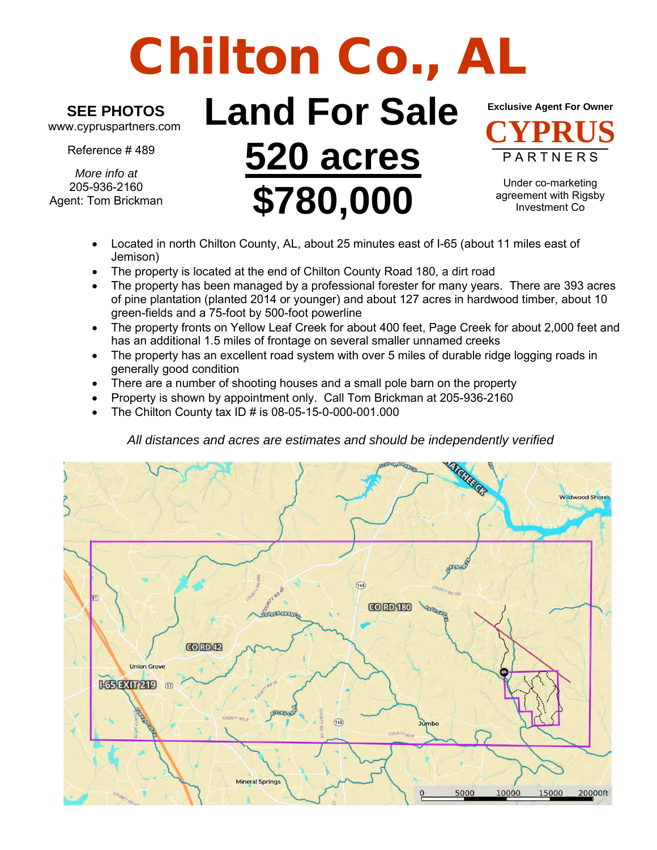# Chilton Co., A

## **SEE PHOTOS**

www.cypruspartners.com

Reference # 489

*More info at* 205-936-2160 Agent: Tom Brickman

# **Land For Sale 520 acres \$780,000**



Under co-marketing agreement with Rigsby Investment Co

- Located in north Chilton County, AL, about 25 minutes east of I-65 (about 11 miles east of Jemison)
- The property is located at the end of Chilton County Road 180, a dirt road
- The property has been managed by a professional forester for many years. There are 393 acres of pine plantation (planted 2014 or younger) and about 127 acres in hardwood timber, about 10 green-fields and a 75-foot by 500-foot powerline
- The property fronts on Yellow Leaf Creek for about 400 feet, Page Creek for about 2,000 feet and has an additional 1.5 miles of frontage on several smaller unnamed creeks
- The property has an excellent road system with over 5 miles of durable ridge logging roads in generally good condition
- There are a number of shooting houses and a small pole barn on the property
- Property is shown by appointment only. Call Tom Brickman at 205-936-2160
- The Chilton County tax ID # is 08-05-15-0-000-001.000

#### *All distances and acres are estimates and should be independently verified*

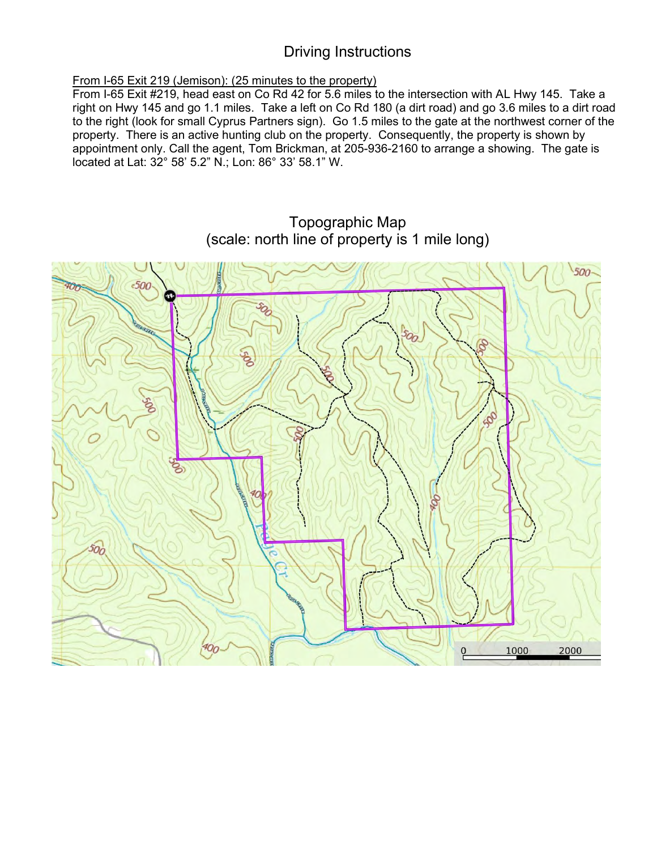#### Driving Instructions

#### From I-65 Exit 219 (Jemison): (25 minutes to the property)

From I-65 Exit #219, head east on Co Rd 42 for 5.6 miles to the intersection with AL Hwy 145. Take a right on Hwy 145 and go 1.1 miles. Take a left on Co Rd 180 (a dirt road) and go 3.6 miles to a dirt road to the right (look for small Cyprus Partners sign). Go 1.5 miles to the gate at the northwest corner of the property. There is an active hunting club on the property. Consequently, the property is shown by appointment only. Call the agent, Tom Brickman, at 205-936-2160 to arrange a showing. The gate is located at Lat: 32° 58' 5.2" N.; Lon: 86° 33' 58.1" W.

### Topographic Map (scale: north line of property is 1 mile long)